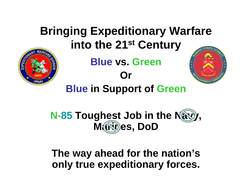## **Bringing Expeditionary Warfare into the 21st Century Blue vs. GreenOr Blue in Support of Green**

**N-85 Toughest Job in the Navy, M**(NO)es, DoD

**The way ahead for the nation's only true expeditionary forces.**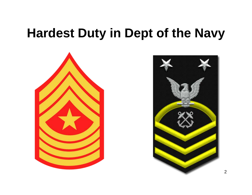# **Hardest Duty in Dept of the Navy**



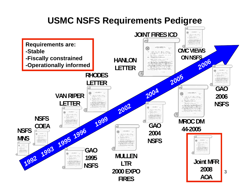#### **USMC NSFS Requirements Pedigree**

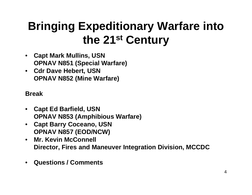### **Bringing Expeditionary Warfare into the 21st Century**

- **Capt Mark Mullins, USN OPNAV N851 (Special Warfare)**
- **Cdr Dave Hebert, USN OPNAV N852 (Mine Warfare)**

**Break**

- **Capt Ed Barfield, USN OPNAV N853 (Amphibious Warfare)**
- **Capt Barry Coceano, USN OPNAV N857 (EOD/NCW)**
- **Mr. Kevin McConnell Director, Fires and Maneuver Integration Division, MCCDC**
- **Questions / Comments**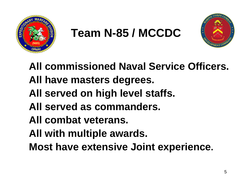

# **Team N-85 / MCCDC**



**All commissioned Naval Service Officers. All have masters degrees. All served on high level staffs. All served as commanders. All combat veterans. All with multiple awards. Most have extensive Joint experience.**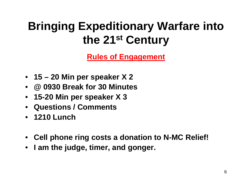### **Bringing Expeditionary Warfare into the 21st Century**

**Rules of Engagement**

- **15 20 Min per speaker X 2**
- **@ 0930 Break for 30 Minutes**
- **15-20 Min per speaker X 3**
- **Questions / Comments**
- **1210 Lunch**
- **Cell phone ring costs a donation to N-MC Relief!**
- **I am the judge, timer, and gonger.**